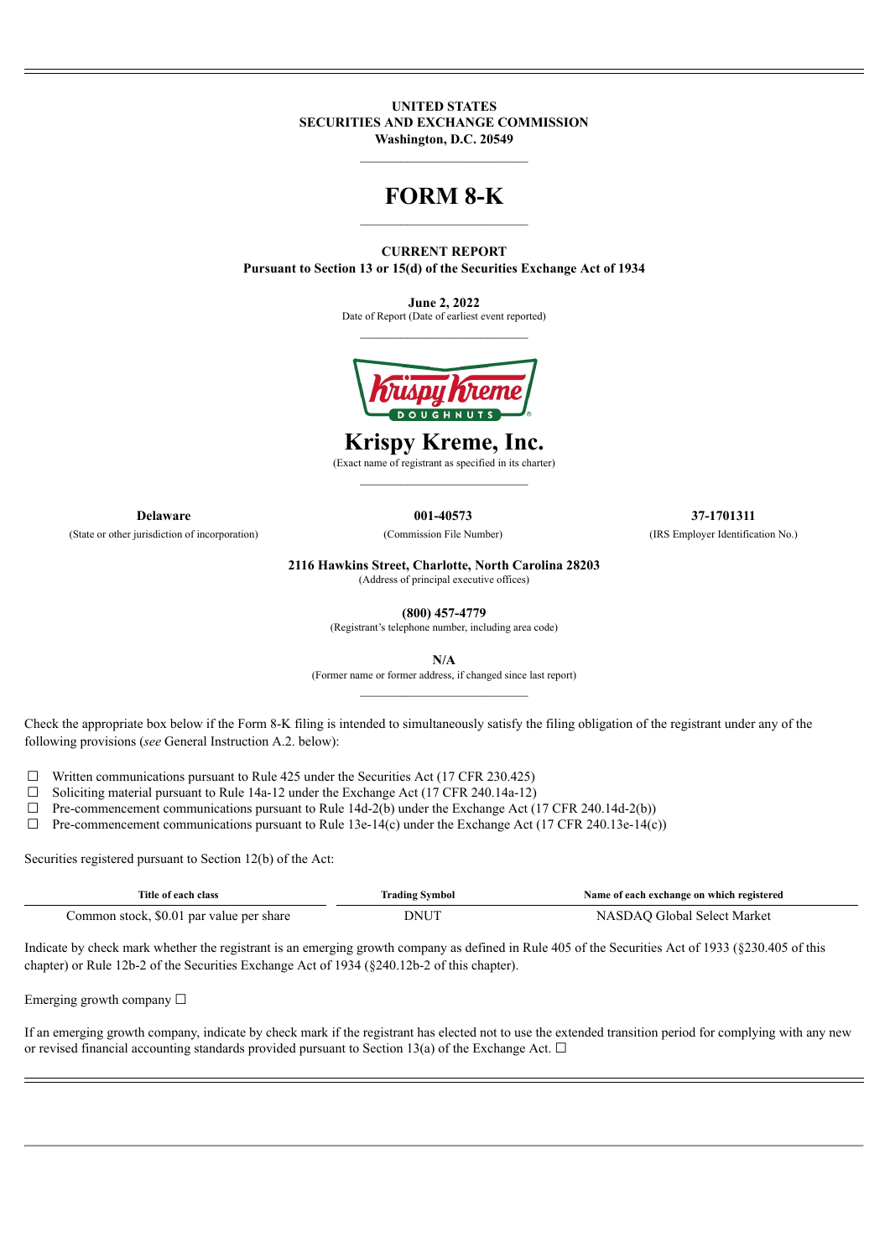**UNITED STATES SECURITIES AND EXCHANGE COMMISSION Washington, D.C. 20549**

## **FORM 8-K**  $\mathcal{L}_\text{max}$

**CURRENT REPORT Pursuant to Section 13 or 15(d) of the Securities Exchange Act of 1934**

> **June 2, 2022** Date of Report (Date of earliest event reported) \_\_\_\_\_\_\_\_\_\_\_\_\_\_\_\_\_\_\_\_\_\_\_\_\_



**Krispy Kreme, Inc.**

(Exact name of registrant as specified in its charter)

**Delaware 001-40573 37-1701311**

(State or other jurisdiction of incorporation) (Commission File Number) (IRS Employer Identification No.)

**2116 Hawkins Street, Charlotte, North Carolina 28203**

(Address of principal executive offices)

**(800) 457-4779**

(Registrant's telephone number, including area code)

**N/A**

(Former name or former address, if changed since last report)

Check the appropriate box below if the Form 8-K filing is intended to simultaneously satisfy the filing obligation of the registrant under any of the following provisions (*see* General Instruction A.2. below):

 $\Box$  Written communications pursuant to Rule 425 under the Securities Act (17 CFR 230.425)

☐ Soliciting material pursuant to Rule 14a-12 under the Exchange Act (17 CFR 240.14a-12)

 $\Box$  Pre-commencement communications pursuant to Rule 14d-2(b) under the Exchange Act (17 CFR 240.14d-2(b))

 $\Box$  Pre-commencement communications pursuant to Rule 13e-14(c) under the Exchange Act (17 CFR 240.13e-14(c))

Securities registered pursuant to Section 12(b) of the Act:

| Title of each class                           | <b>Trading Symbol</b> | Name of each exchange on which registered |
|-----------------------------------------------|-----------------------|-------------------------------------------|
| Common stock, \$0.01<br>l par value per share | DNUT                  | . Select Market<br>ulobal                 |

Indicate by check mark whether the registrant is an emerging growth company as defined in Rule 405 of the Securities Act of 1933 (§230.405 of this chapter) or Rule 12b-2 of the Securities Exchange Act of 1934 (§240.12b-2 of this chapter).

Emerging growth company  $\Box$ 

If an emerging growth company, indicate by check mark if the registrant has elected not to use the extended transition period for complying with any new or revised financial accounting standards provided pursuant to Section 13(a) of the Exchange Act.  $\Box$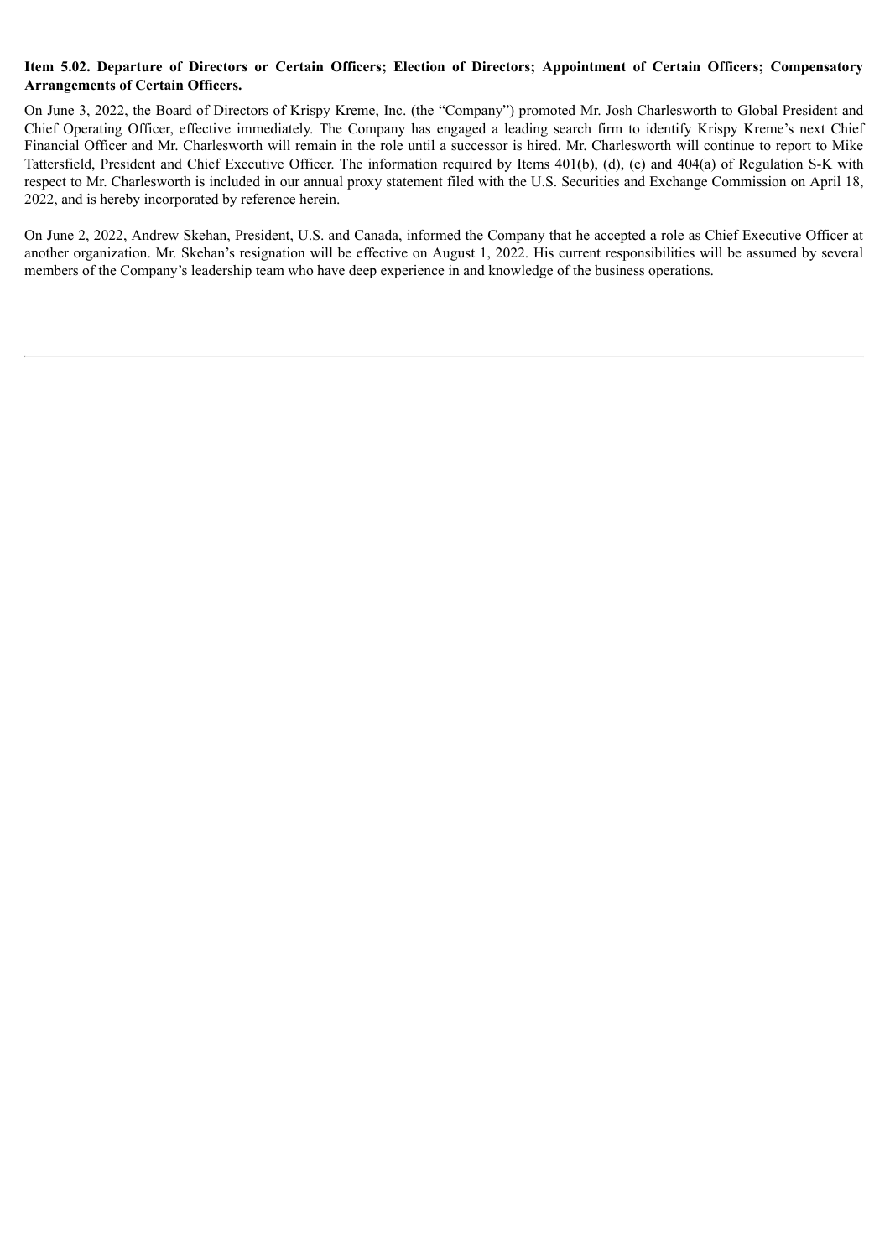## Item 5.02. Departure of Directors or Certain Officers; Election of Directors; Appointment of Certain Officers; Compensatory **Arrangements of Certain Officers.**

On June 3, 2022, the Board of Directors of Krispy Kreme, Inc. (the "Company") promoted Mr. Josh Charlesworth to Global President and Chief Operating Officer, effective immediately. The Company has engaged a leading search firm to identify Krispy Kreme's next Chief Financial Officer and Mr. Charlesworth will remain in the role until a successor is hired. Mr. Charlesworth will continue to report to Mike Tattersfield, President and Chief Executive Officer. The information required by Items 401(b), (d), (e) and 404(a) of Regulation S-K with respect to Mr. Charlesworth is included in our annual proxy statement filed with the U.S. Securities and Exchange Commission on April 18, 2022, and is hereby incorporated by reference herein.

On June 2, 2022, Andrew Skehan, President, U.S. and Canada, informed the Company that he accepted a role as Chief Executive Officer at another organization. Mr. Skehan's resignation will be effective on August 1, 2022. His current responsibilities will be assumed by several members of the Company's leadership team who have deep experience in and knowledge of the business operations.